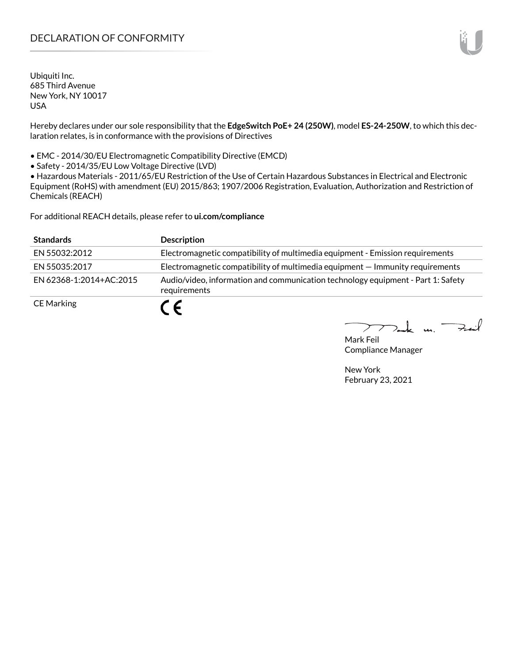# DECLARATION OF CONFORMITY

Ubiquiti Inc. 685 Third Avenue New York, NY 10017 USA

Hereby declares under our sole responsibility that the **EdgeSwitch PoE+ 24 (250W)**, model **ES-24-250W**, to which this declaration relates, is in conformance with the provisions of Directives

• EMC - 2014/30/EU Electromagnetic Compatibility Directive (EMCD)

• Safety - 2014/35/EU Low Voltage Directive (LVD)

• Hazardous Materials - 2011/65/EU Restriction of the Use of Certain Hazardous Substances in Electrical and Electronic Equipment (RoHS) with amendment (EU) 2015/863; 1907/2006 Registration, Evaluation, Authorization and Restriction of Chemicals (REACH)

For additional REACH details, please refer to **<ui.com/compliance>**

| <b>Standards</b>        | <b>Description</b>                                                                               |
|-------------------------|--------------------------------------------------------------------------------------------------|
| EN 55032:2012           | Electromagnetic compatibility of multimedia equipment - Emission requirements                    |
| EN 55035:2017           | Electromagnetic compatibility of multimedia equipment – Immunity requirements                    |
| EN 62368-1:2014+AC:2015 | Audio/video, information and communication technology equipment - Part 1: Safety<br>requirements |
| <b>CE Marking</b>       |                                                                                                  |

 $k$  un  $\rightarrow$ 

Mark Feil Compliance Manager

New York February 23, 2021